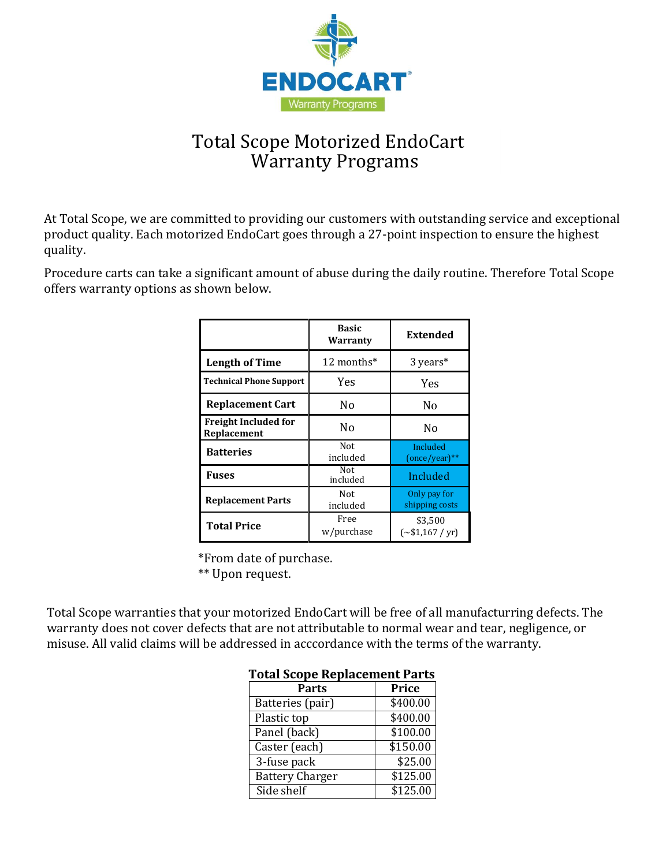

# Total Scope Motorized EndoCart Warranty Programs

At Total Scope, we are committed to providing our customers with outstanding service and exceptional product quality. Each motorized EndoCart goes through a 27-point inspection to ensure the highest quality.

Procedure carts can take a significant amount of abuse during the daily routine. Therefore Total Scope offers warranty options as shown below.

|                                            | <b>Basic</b><br>Warranty                           | Extended                           |  |
|--------------------------------------------|----------------------------------------------------|------------------------------------|--|
| <b>Length of Time</b>                      | 12 months*                                         | 3 years*                           |  |
| <b>Technical Phone Support</b>             | Yes<br><b>Yes</b>                                  |                                    |  |
| <b>Replacement Cart</b>                    | Nο                                                 | No                                 |  |
| <b>Freight Included for</b><br>Replacement | N <sub>0</sub>                                     | N <sub>0</sub>                     |  |
| <b>Batteries</b>                           | Not<br>included                                    | Included<br>$(once/year)$ **       |  |
| Fuses                                      | Not<br>included                                    | Included                           |  |
| <b>Replacement Parts</b>                   | Not.<br>Only pay for<br>shipping costs<br>included |                                    |  |
| <b>Total Price</b>                         | Free<br>w/purchase                                 | \$3,500<br>$({\sim}$ \$1,167 / yr) |  |

\*From date of purchase. \*\* Upon request.

Total Scope warranties that your motorized EndoCart will be free of all manufacturring defects. The warranty does not cover defects that are not attributable to normal wear and tear, negligence, or misuse. All valid claims will be addressed in acccordance with the terms of the warranty.

| I otal beope Replacement I al ts |                      |  |  |
|----------------------------------|----------------------|--|--|
| Parts                            | Price                |  |  |
| Batteries (pair)                 | \$400.00             |  |  |
| Plastic top                      | \$400.00             |  |  |
| Panel (back)                     | \$100.00             |  |  |
| Caster (each)                    | \$150.00             |  |  |
| 3-fuse pack                      | \$25.00              |  |  |
| <b>Battery Charger</b>           | \$125.00             |  |  |
| Side shelf                       | $\overline{$}125.00$ |  |  |

### **Total Scope Replacement Parts**